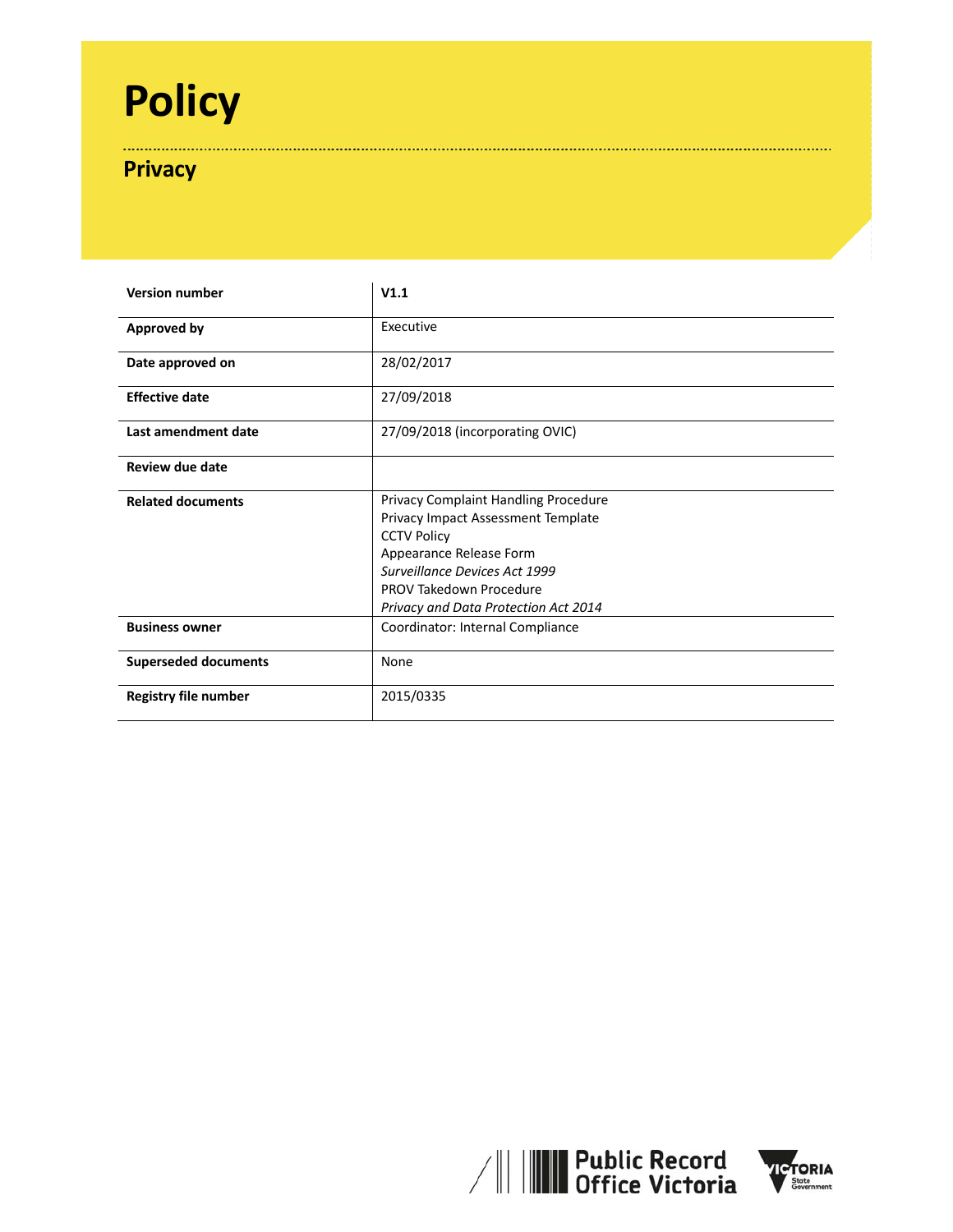# **Policy**

# **Privacy**

| <b>Version number</b>       | V1.1                                                                                                                                                                                                                                   |
|-----------------------------|----------------------------------------------------------------------------------------------------------------------------------------------------------------------------------------------------------------------------------------|
| Approved by                 | Executive                                                                                                                                                                                                                              |
| Date approved on            | 28/02/2017                                                                                                                                                                                                                             |
| <b>Effective date</b>       | 27/09/2018                                                                                                                                                                                                                             |
| Last amendment date         | 27/09/2018 (incorporating OVIC)                                                                                                                                                                                                        |
| Review due date             |                                                                                                                                                                                                                                        |
| <b>Related documents</b>    | Privacy Complaint Handling Procedure<br>Privacy Impact Assessment Template<br><b>CCTV Policy</b><br>Appearance Release Form<br><b>Surveillance Devices Act 1999</b><br>PROV Takedown Procedure<br>Privacy and Data Protection Act 2014 |
| <b>Business owner</b>       | Coordinator: Internal Compliance                                                                                                                                                                                                       |
| <b>Superseded documents</b> | None                                                                                                                                                                                                                                   |
| <b>Registry file number</b> | 2015/0335                                                                                                                                                                                                                              |



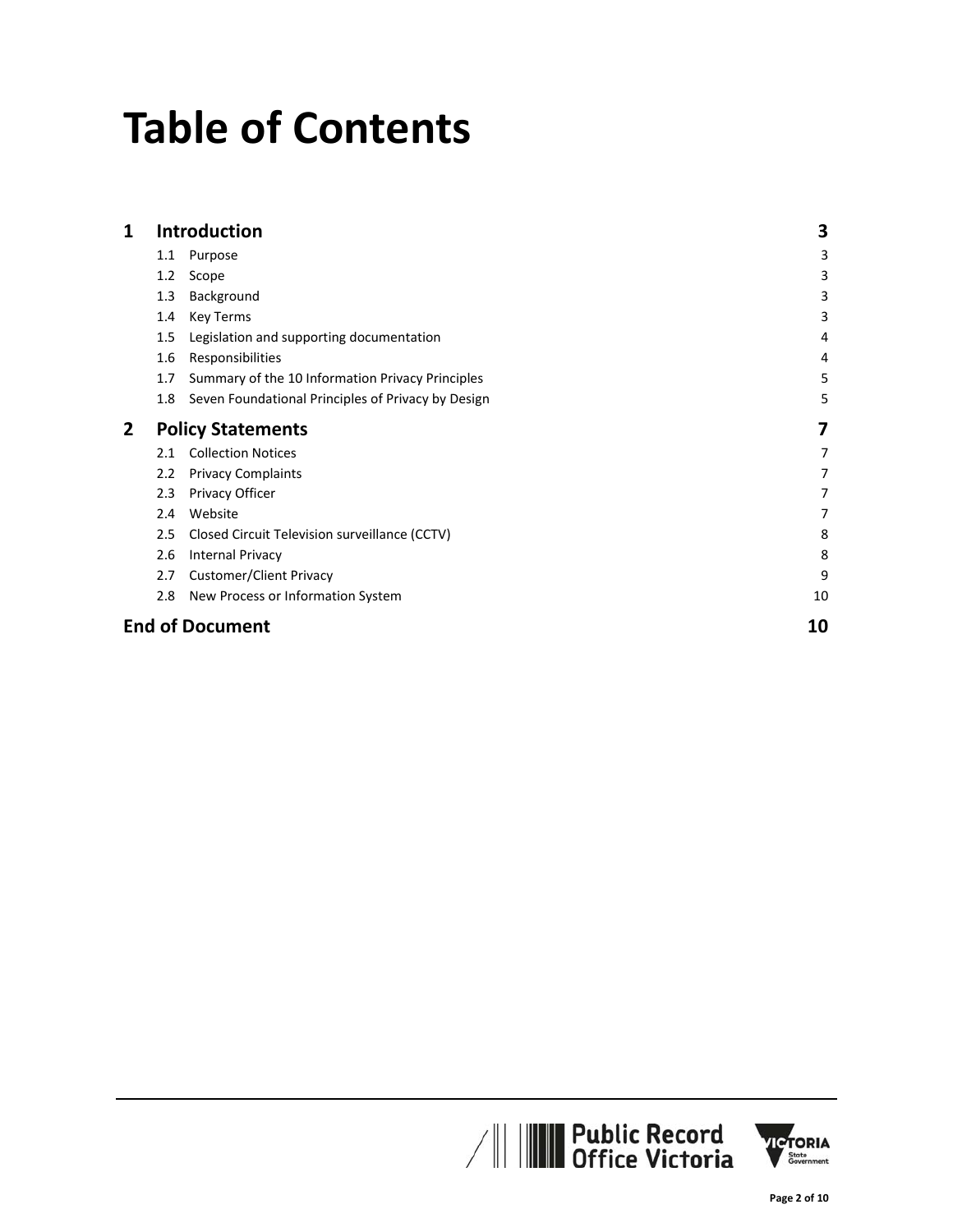# **Table of Contents**

| 1 |         | <b>Introduction</b>                                | 3  |
|---|---------|----------------------------------------------------|----|
|   | $1.1\,$ | Purpose                                            | 3  |
|   | 1.2     | Scope                                              | 3  |
|   | 1.3     | Background                                         | 3  |
|   | 1.4     | Key Terms                                          | 3  |
|   | 1.5     | Legislation and supporting documentation           | 4  |
|   | 1.6     | Responsibilities                                   | 4  |
|   | 1.7     | Summary of the 10 Information Privacy Principles   | 5  |
|   | 1.8     | Seven Foundational Principles of Privacy by Design | 5  |
| 2 |         | <b>Policy Statements</b>                           | 7  |
|   | 2.1     | <b>Collection Notices</b>                          | 7  |
|   | 2.2     | <b>Privacy Complaints</b>                          | 7  |
|   | 2.3     | Privacy Officer                                    | 7  |
|   | 2.4     | Website                                            | 7  |
|   | 2.5     | Closed Circuit Television surveillance (CCTV)      | 8  |
|   | 2.6     | <b>Internal Privacy</b>                            | 8  |
|   | 2.7     | <b>Customer/Client Privacy</b>                     | 9  |
|   | 2.8     | New Process or Information System                  | 10 |
|   |         | <b>End of Document</b>                             | 10 |



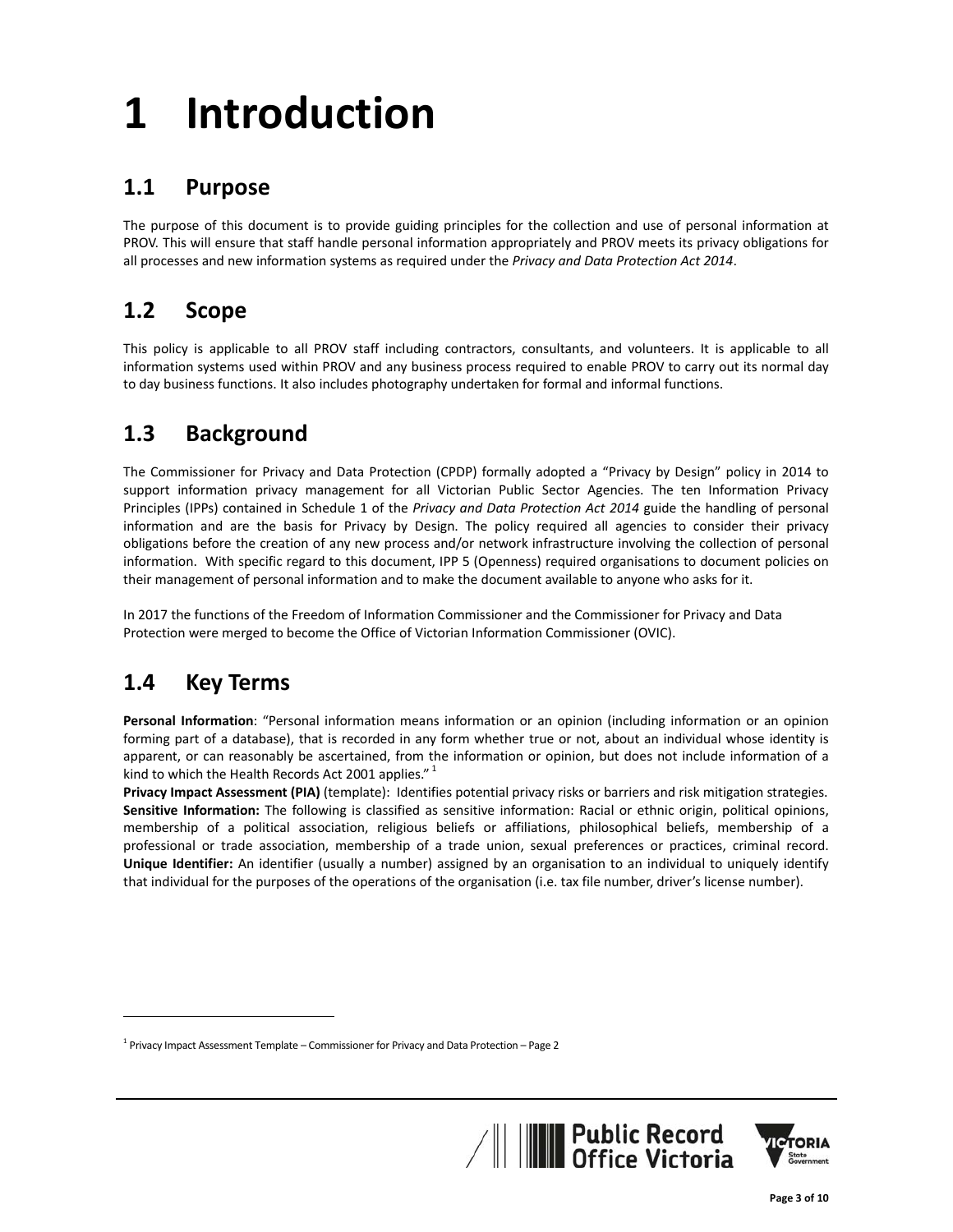# **1 Introduction**

## **1.1 Purpose**

The purpose of this document is to provide guiding principles for the collection and use of personal information at PROV. This will ensure that staff handle personal information appropriately and PROV meets its privacy obligations for all processes and new information systems as required under the *Privacy and Data Protection Act 2014*.

## **1.2 Scope**

This policy is applicable to all PROV staff including contractors, consultants, and volunteers. It is applicable to all information systems used within PROV and any business process required to enable PROV to carry out its normal day to day business functions. It also includes photography undertaken for formal and informal functions.

# **1.3 Background**

The Commissioner for Privacy and Data Protection (CPDP) formally adopted a "Privacy by Design" policy in 2014 to support information privacy management for all Victorian Public Sector Agencies. The ten Information Privacy Principles (IPPs) contained in Schedule 1 of the *Privacy and Data Protection Act 2014* guide the handling of personal information and are the basis for Privacy by Design. The policy required all agencies to consider their privacy obligations before the creation of any new process and/or network infrastructure involving the collection of personal information. With specific regard to this document, IPP 5 (Openness) required organisations to document policies on their management of personal information and to make the document available to anyone who asks for it.

In 2017 the functions of the Freedom of Information Commissioner and the Commissioner for Privacy and Data Protection were merged to become the Office of Victorian Information Commissioner (OVIC).

## **1.4 Key Terms**

**Personal Information**: "Personal information means information or an opinion (including information or an opinion forming part of a database), that is recorded in any form whether true or not, about an individual whose identity is apparent, or can reasonably be ascertained, from the information or opinion, but does not include information of a kind to which the Health Records Act 2001 applies."<sup>1</sup>

**Privacy Impact Assessment (PIA)** (template): Identifies potential privacy risks or barriers and risk mitigation strategies. **Sensitive Information:** The following is classified as sensitive information: Racial or ethnic origin, political opinions, membership of a political association, religious beliefs or affiliations, philosophical beliefs, membership of a professional or trade association, membership of a trade union, sexual preferences or practices, criminal record. **Unique Identifier:** An identifier (usually a number) assigned by an organisation to an individual to uniquely identify that individual for the purposes of the operations of the organisation (i.e. tax file number, driver's license number).

 $1$  Privacy Impact Assessment Template – Commissioner for Privacy and Data Protection – Page 2

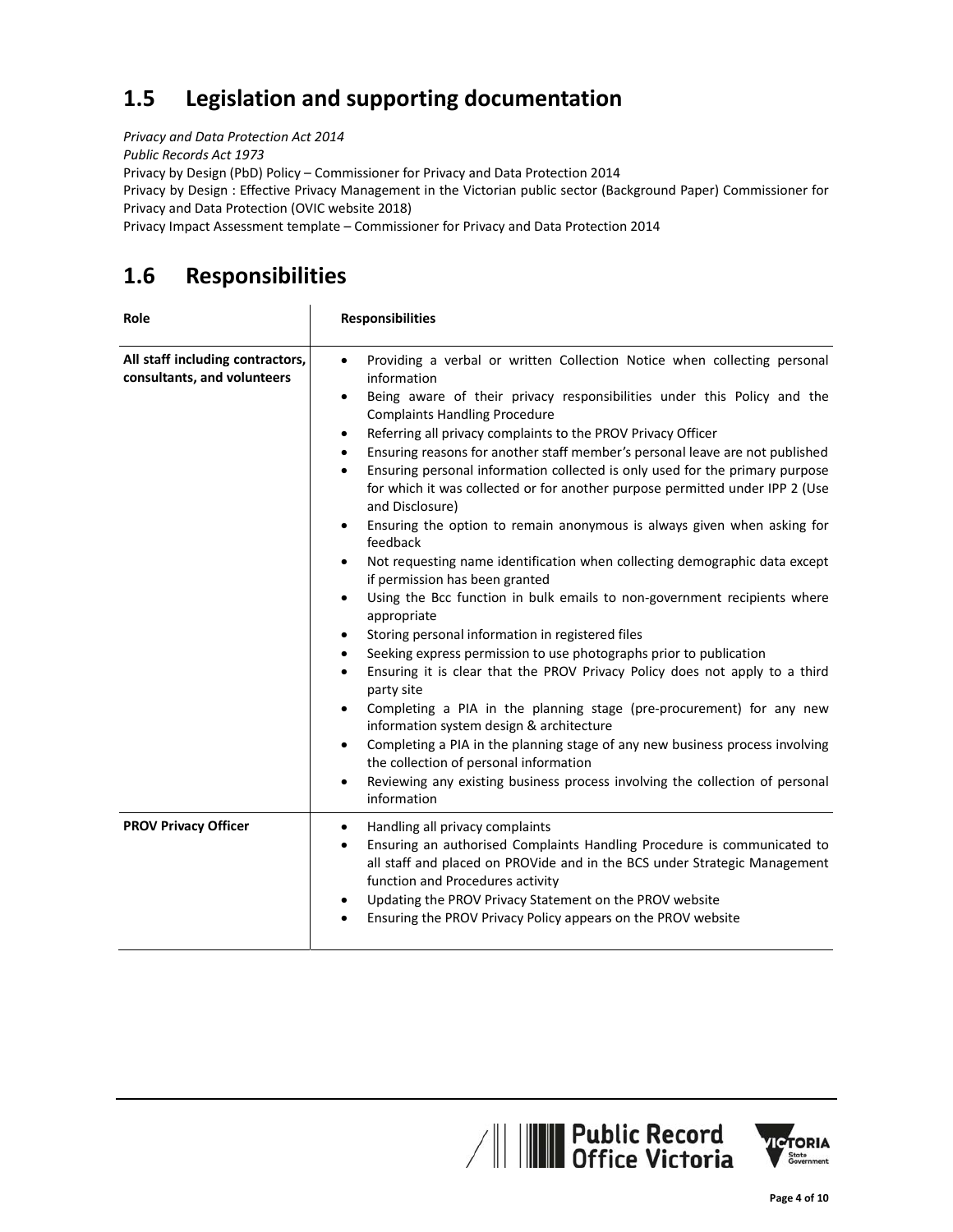# **1.5 Legislation and supporting documentation**

*Privacy and Data Protection Act 2014*

*Public Records Act 1973*

Privacy by Design (PbD) Policy – Commissioner for Privacy and Data Protection 2014

Privacy by Design : Effective Privacy Management in the Victorian public sector (Background Paper) Commissioner for Privacy and Data Protection (OVIC website 2018)

Privacy Impact Assessment template – Commissioner for Privacy and Data Protection 2014

# **1.6 Responsibilities**

| Role                                                            | <b>Responsibilities</b>                                                                                                                                                                                                                                                                                                                                                                                                                                                                                                                                                                                                                                                                                                                                                                                                                                                                                                                                                                                                                                                                                                                                                                                                                                                                                                                                                                                                                                                                                                                                                           |
|-----------------------------------------------------------------|-----------------------------------------------------------------------------------------------------------------------------------------------------------------------------------------------------------------------------------------------------------------------------------------------------------------------------------------------------------------------------------------------------------------------------------------------------------------------------------------------------------------------------------------------------------------------------------------------------------------------------------------------------------------------------------------------------------------------------------------------------------------------------------------------------------------------------------------------------------------------------------------------------------------------------------------------------------------------------------------------------------------------------------------------------------------------------------------------------------------------------------------------------------------------------------------------------------------------------------------------------------------------------------------------------------------------------------------------------------------------------------------------------------------------------------------------------------------------------------------------------------------------------------------------------------------------------------|
| All staff including contractors,<br>consultants, and volunteers | Providing a verbal or written Collection Notice when collecting personal<br>$\bullet$<br>information<br>Being aware of their privacy responsibilities under this Policy and the<br>$\bullet$<br><b>Complaints Handling Procedure</b><br>Referring all privacy complaints to the PROV Privacy Officer<br>$\bullet$<br>Ensuring reasons for another staff member's personal leave are not published<br>$\bullet$<br>Ensuring personal information collected is only used for the primary purpose<br>$\bullet$<br>for which it was collected or for another purpose permitted under IPP 2 (Use<br>and Disclosure)<br>Ensuring the option to remain anonymous is always given when asking for<br>$\bullet$<br>feedback<br>Not requesting name identification when collecting demographic data except<br>٠<br>if permission has been granted<br>Using the Bcc function in bulk emails to non-government recipients where<br>$\bullet$<br>appropriate<br>Storing personal information in registered files<br>٠<br>Seeking express permission to use photographs prior to publication<br>٠<br>Ensuring it is clear that the PROV Privacy Policy does not apply to a third<br>$\bullet$<br>party site<br>Completing a PIA in the planning stage (pre-procurement) for any new<br>$\bullet$<br>information system design & architecture<br>Completing a PIA in the planning stage of any new business process involving<br>$\bullet$<br>the collection of personal information<br>Reviewing any existing business process involving the collection of personal<br>$\bullet$<br>information |
| <b>PROV Privacy Officer</b>                                     | Handling all privacy complaints<br>$\bullet$<br>Ensuring an authorised Complaints Handling Procedure is communicated to<br>$\bullet$<br>all staff and placed on PROVide and in the BCS under Strategic Management<br>function and Procedures activity<br>Updating the PROV Privacy Statement on the PROV website<br>٠<br>Ensuring the PROV Privacy Policy appears on the PROV website                                                                                                                                                                                                                                                                                                                                                                                                                                                                                                                                                                                                                                                                                                                                                                                                                                                                                                                                                                                                                                                                                                                                                                                             |



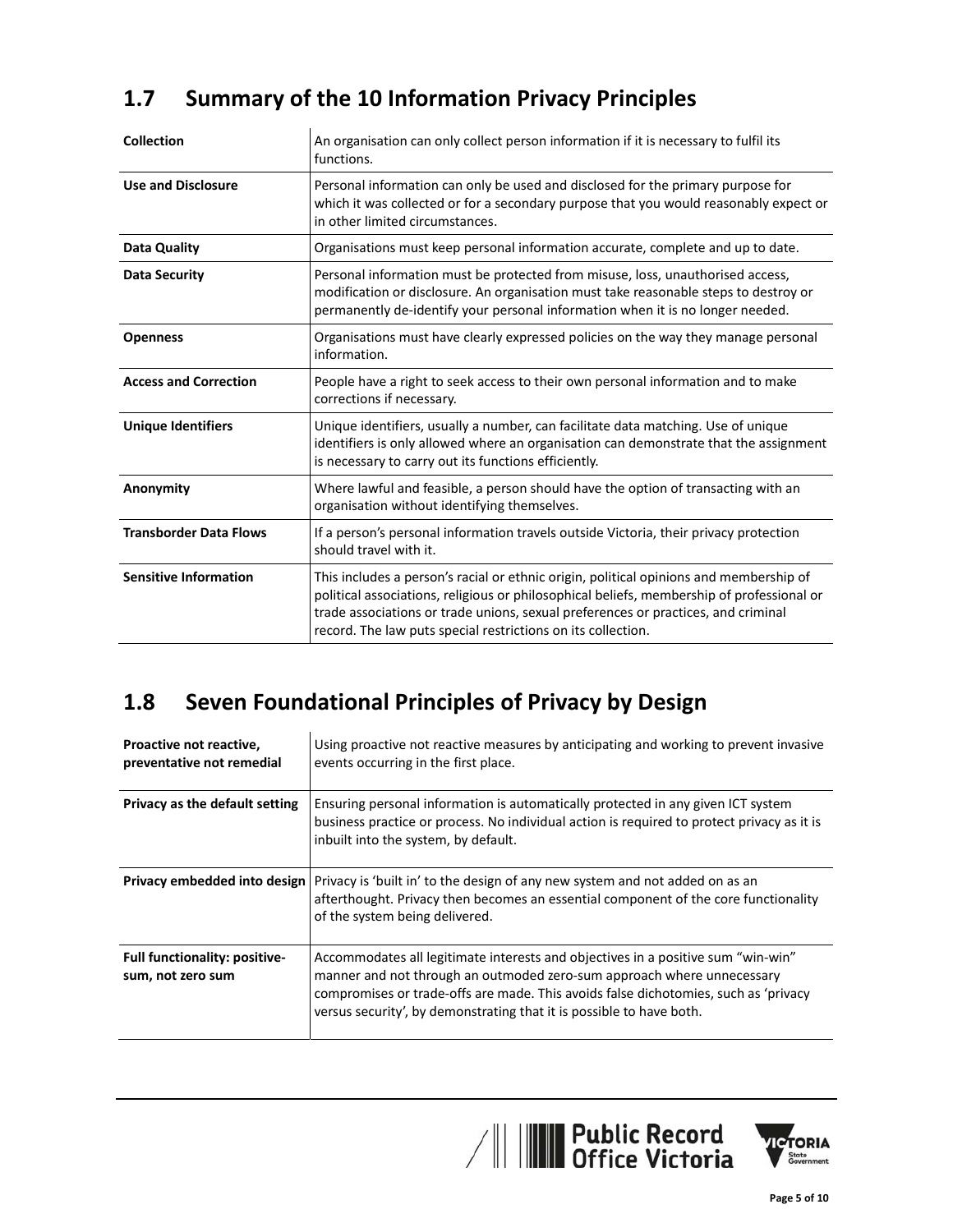# **1.7 Summary of the 10 Information Privacy Principles**

| <b>Collection</b>             | An organisation can only collect person information if it is necessary to fulfil its<br>functions.                                                                                                                                                                                                                                       |
|-------------------------------|------------------------------------------------------------------------------------------------------------------------------------------------------------------------------------------------------------------------------------------------------------------------------------------------------------------------------------------|
| <b>Use and Disclosure</b>     | Personal information can only be used and disclosed for the primary purpose for<br>which it was collected or for a secondary purpose that you would reasonably expect or<br>in other limited circumstances.                                                                                                                              |
| Data Quality                  | Organisations must keep personal information accurate, complete and up to date.                                                                                                                                                                                                                                                          |
| <b>Data Security</b>          | Personal information must be protected from misuse, loss, unauthorised access,<br>modification or disclosure. An organisation must take reasonable steps to destroy or<br>permanently de-identify your personal information when it is no longer needed.                                                                                 |
| <b>Openness</b>               | Organisations must have clearly expressed policies on the way they manage personal<br>information.                                                                                                                                                                                                                                       |
| <b>Access and Correction</b>  | People have a right to seek access to their own personal information and to make<br>corrections if necessary.                                                                                                                                                                                                                            |
| <b>Unique Identifiers</b>     | Unique identifiers, usually a number, can facilitate data matching. Use of unique<br>identifiers is only allowed where an organisation can demonstrate that the assignment<br>is necessary to carry out its functions efficiently.                                                                                                       |
| Anonymity                     | Where lawful and feasible, a person should have the option of transacting with an<br>organisation without identifying themselves.                                                                                                                                                                                                        |
| <b>Transborder Data Flows</b> | If a person's personal information travels outside Victoria, their privacy protection<br>should travel with it.                                                                                                                                                                                                                          |
| <b>Sensitive Information</b>  | This includes a person's racial or ethnic origin, political opinions and membership of<br>political associations, religious or philosophical beliefs, membership of professional or<br>trade associations or trade unions, sexual preferences or practices, and criminal<br>record. The law puts special restrictions on its collection. |

# **1.8 Seven Foundational Principles of Privacy by Design**

| Proactive not reactive,<br>preventative not remedial      | Using proactive not reactive measures by anticipating and working to prevent invasive<br>events occurring in the first place.                                                                                                                                                                                             |
|-----------------------------------------------------------|---------------------------------------------------------------------------------------------------------------------------------------------------------------------------------------------------------------------------------------------------------------------------------------------------------------------------|
| Privacy as the default setting                            | Ensuring personal information is automatically protected in any given ICT system<br>business practice or process. No individual action is required to protect privacy as it is<br>inbuilt into the system, by default.                                                                                                    |
| Privacy embedded into design                              | Privacy is 'built in' to the design of any new system and not added on as an<br>afterthought. Privacy then becomes an essential component of the core functionality<br>of the system being delivered.                                                                                                                     |
| <b>Full functionality: positive-</b><br>sum, not zero sum | Accommodates all legitimate interests and objectives in a positive sum "win-win"<br>manner and not through an outmoded zero-sum approach where unnecessary<br>compromises or trade-offs are made. This avoids false dichotomies, such as 'privacy<br>versus security', by demonstrating that it is possible to have both. |



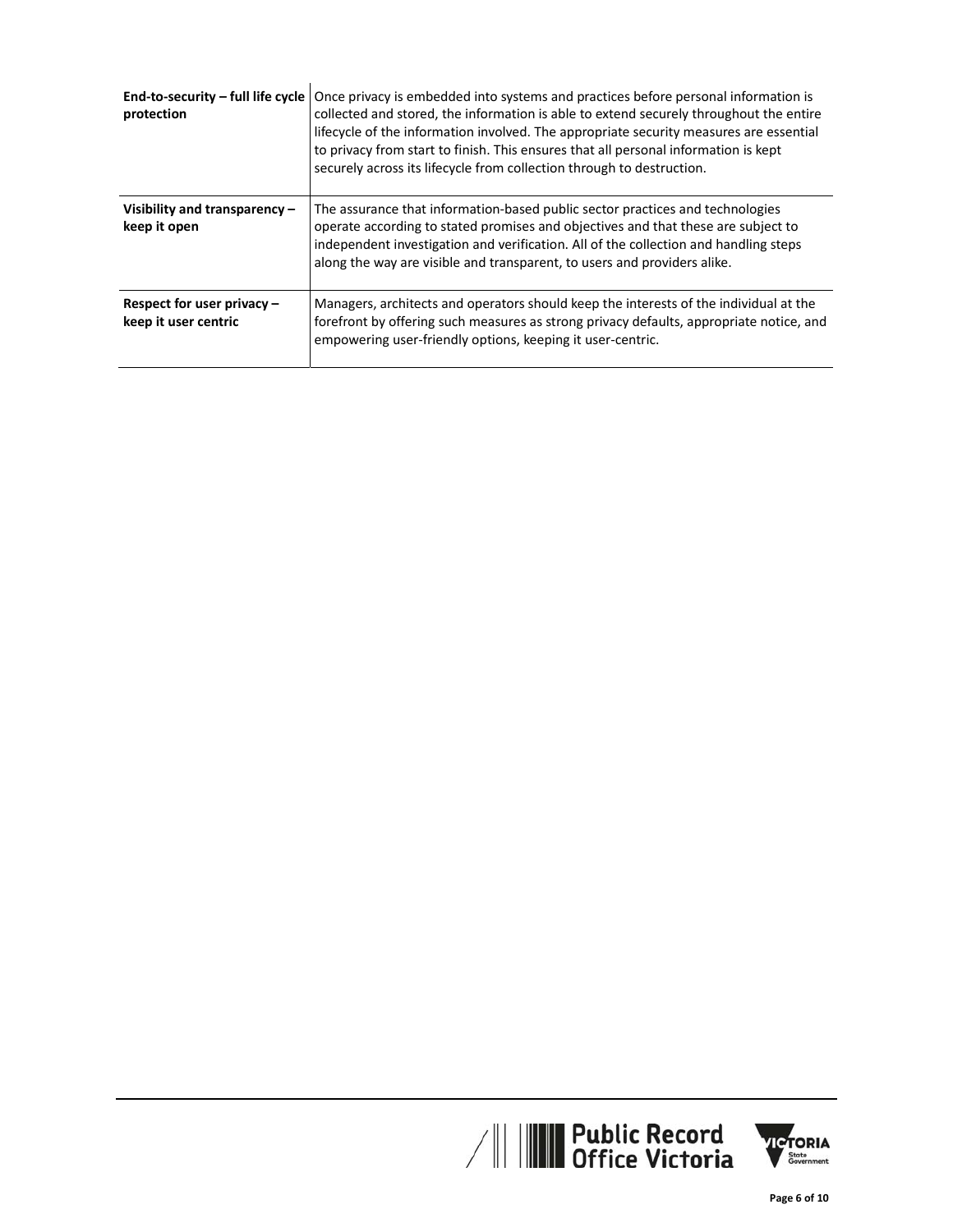| End-to-security - full life cycle<br>protection    | Once privacy is embedded into systems and practices before personal information is<br>collected and stored, the information is able to extend securely throughout the entire<br>lifecycle of the information involved. The appropriate security measures are essential<br>to privacy from start to finish. This ensures that all personal information is kept<br>securely across its lifecycle from collection through to destruction. |
|----------------------------------------------------|----------------------------------------------------------------------------------------------------------------------------------------------------------------------------------------------------------------------------------------------------------------------------------------------------------------------------------------------------------------------------------------------------------------------------------------|
| Visibility and transparency -<br>keep it open      | The assurance that information-based public sector practices and technologies<br>operate according to stated promises and objectives and that these are subject to<br>independent investigation and verification. All of the collection and handling steps<br>along the way are visible and transparent, to users and providers alike.                                                                                                 |
| Respect for user privacy -<br>keep it user centric | Managers, architects and operators should keep the interests of the individual at the<br>forefront by offering such measures as strong privacy defaults, appropriate notice, and<br>empowering user-friendly options, keeping it user-centric.                                                                                                                                                                                         |



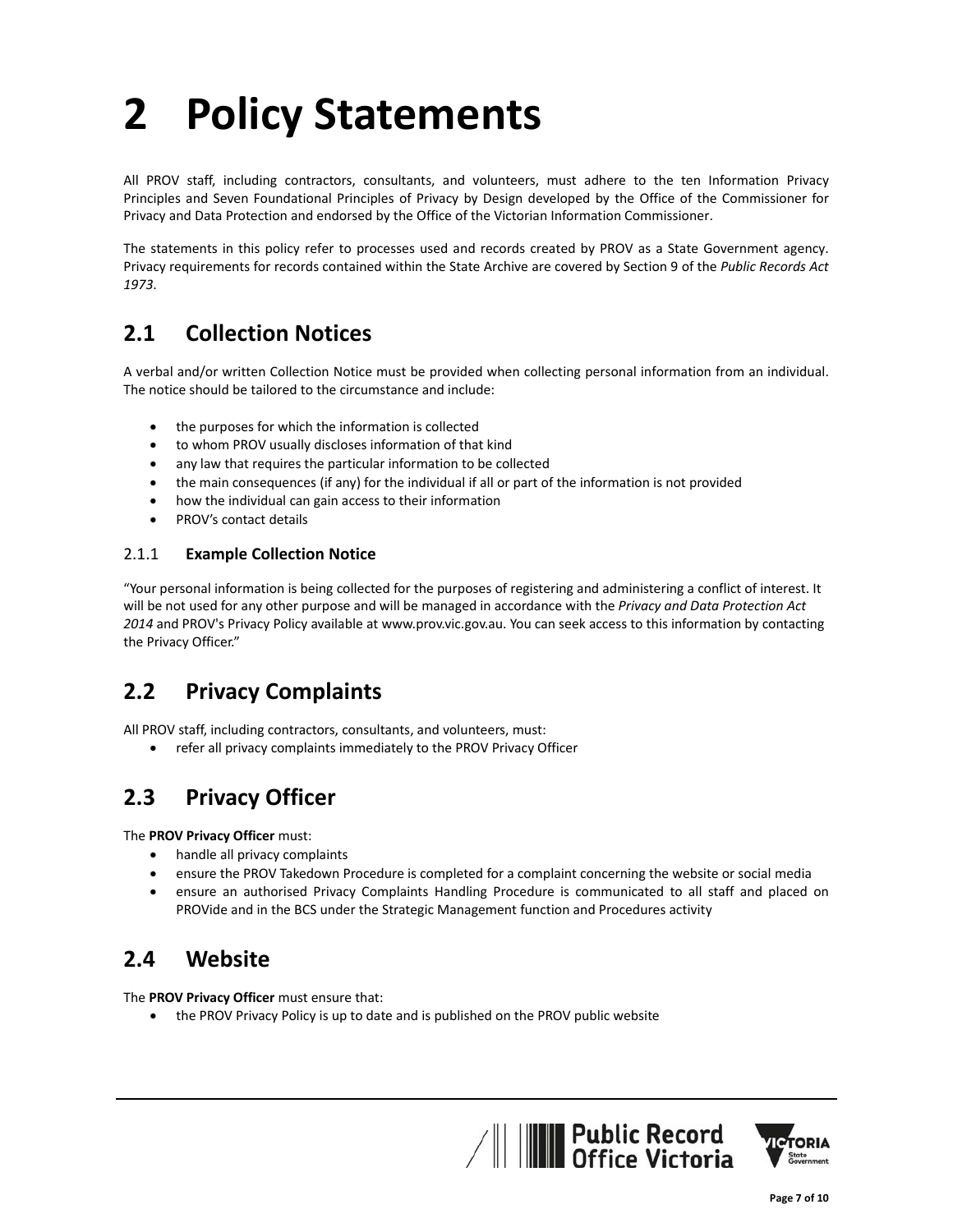# **2 Policy Statements**

All PROV staff, including contractors, consultants, and volunteers, must adhere to the ten Information Privacy Principles and Seven Foundational Principles of Privacy by Design developed by the Office of the Commissioner for Privacy and Data Protection and endorsed by the Office of the Victorian Information Commissioner.

The statements in this policy refer to processes used and records created by PROV as a State Government agency. Privacy requirements for records contained within the State Archive are covered by Section 9 of the *Public Records Act 1973*.

## **2.1 Collection Notices**

A verbal and/or written Collection Notice must be provided when collecting personal information from an individual. The notice should be tailored to the circumstance and include:

- the purposes for which the information is collected
- to whom PROV usually discloses information of that kind
- any law that requires the particular information to be collected
- the main consequences (if any) for the individual if all or part of the information is not provided
- how the individual can gain access to their information
- PROV's contact details

### 2.1.1 **Example Collection Notice**

"Your personal information is being collected for the purposes of registering and administering a conflict of interest. It will be not used for any other purpose and will be managed in accordance with the *Privacy and Data Protection Act 2014* and PROV's Privacy Policy available at www.prov.vic.gov.au. You can seek access to this information by contacting the Privacy Officer."

## **2.2 Privacy Complaints**

All PROV staff, including contractors, consultants, and volunteers, must:

refer all privacy complaints immediately to the PROV Privacy Officer

## **2.3 Privacy Officer**

The **PROV Privacy Officer** must:

- handle all privacy complaints
- ensure the PROV Takedown Procedure is completed for a complaint concerning the website or social media
- ensure an authorised Privacy Complaints Handling Procedure is communicated to all staff and placed on PROVide and in the BCS under the Strategic Management function and Procedures activity

## **2.4 Website**

The **PROV Privacy Officer** must ensure that:

the PROV Privacy Policy is up to date and is published on the PROV public website



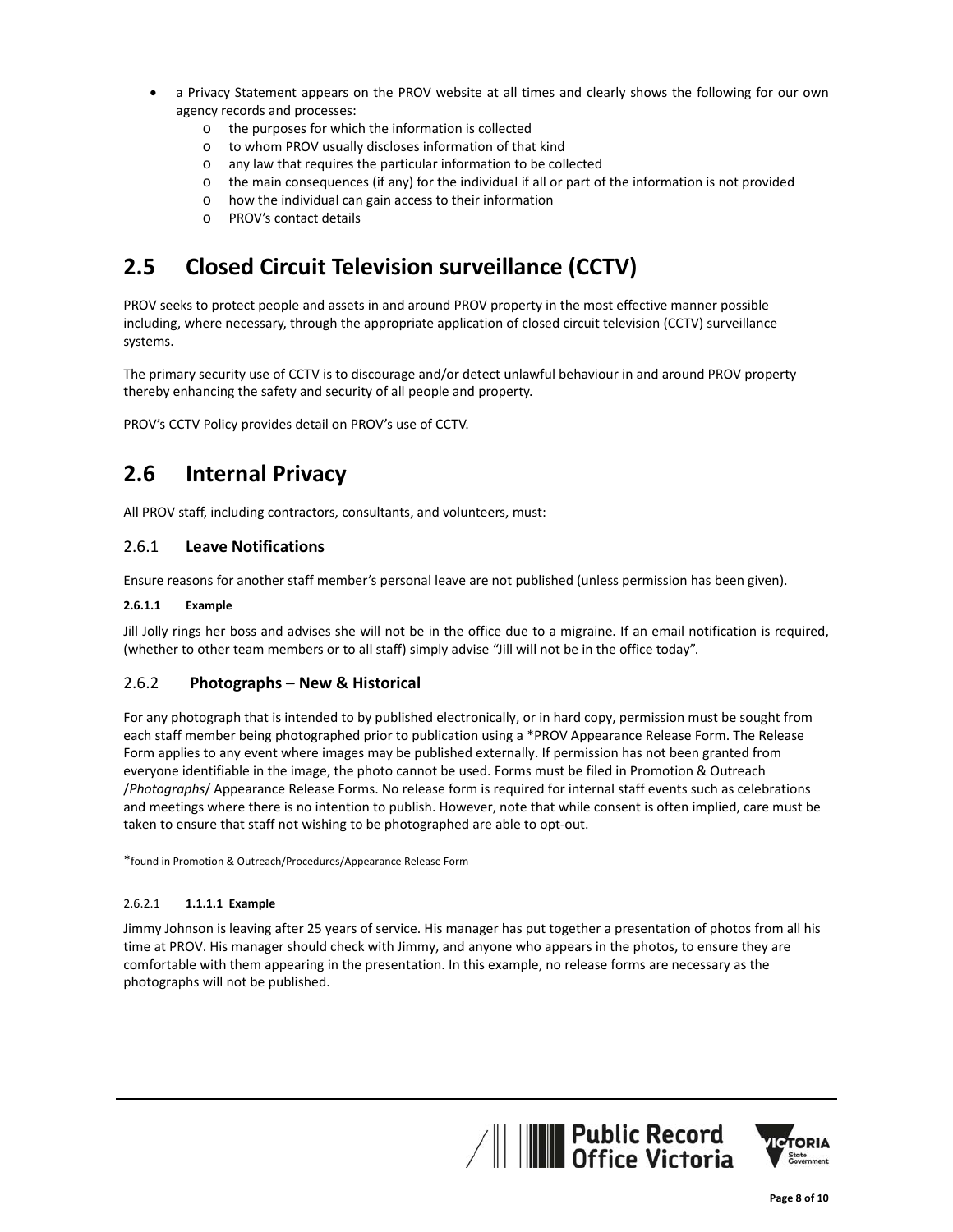- a Privacy Statement appears on the PROV website at all times and clearly shows the following for our own agency records and processes:
	- o the purposes for which the information is collected
	- o to whom PROV usually discloses information of that kind
	- o any law that requires the particular information to be collected
	- o the main consequences (if any) for the individual if all or part of the information is not provided
	- o how the individual can gain access to their information
	- o PROV's contact details

# **2.5 Closed Circuit Television surveillance (CCTV)**

PROV seeks to protect people and assets in and around PROV property in the most effective manner possible including, where necessary, through the appropriate application of closed circuit television (CCTV) surveillance systems.

The primary security use of CCTV is to discourage and/or detect unlawful behaviour in and around PROV property thereby enhancing the safety and security of all people and property.

PROV's CCTV Policy provides detail on PROV's use of CCTV.

## **2.6 Internal Privacy**

All PROV staff, including contractors, consultants, and volunteers, must:

### 2.6.1 **Leave Notifications**

Ensure reasons for another staff member's personal leave are not published (unless permission has been given).

#### **2.6.1.1 Example**

Jill Jolly rings her boss and advises she will not be in the office due to a migraine. If an email notification is required, (whether to other team members or to all staff) simply advise "Jill will not be in the office today".

#### 2.6.2 **Photographs – New & Historical**

For any photograph that is intended to by published electronically, or in hard copy, permission must be sought from each staff member being photographed prior to publication using a \*PROV Appearance Release Form. The Release Form applies to any event where images may be published externally. If permission has not been granted from everyone identifiable in the image, the photo cannot be used. Forms must be filed in Promotion & Outreach /*Photographs*/ Appearance Release Forms. No release form is required for internal staff events such as celebrations and meetings where there is no intention to publish. However, note that while consent is often implied, care must be taken to ensure that staff not wishing to be photographed are able to opt‐out.

\*found in Promotion & Outreach/Procedures/Appearance Release Form

#### 2.6.2.1 **1.1.1.1 Example**

Jimmy Johnson is leaving after 25 years of service. His manager has put together a presentation of photos from all his time at PROV. His manager should check with Jimmy, and anyone who appears in the photos, to ensure they are comfortable with them appearing in the presentation. In this example, no release forms are necessary as the photographs will not be published.



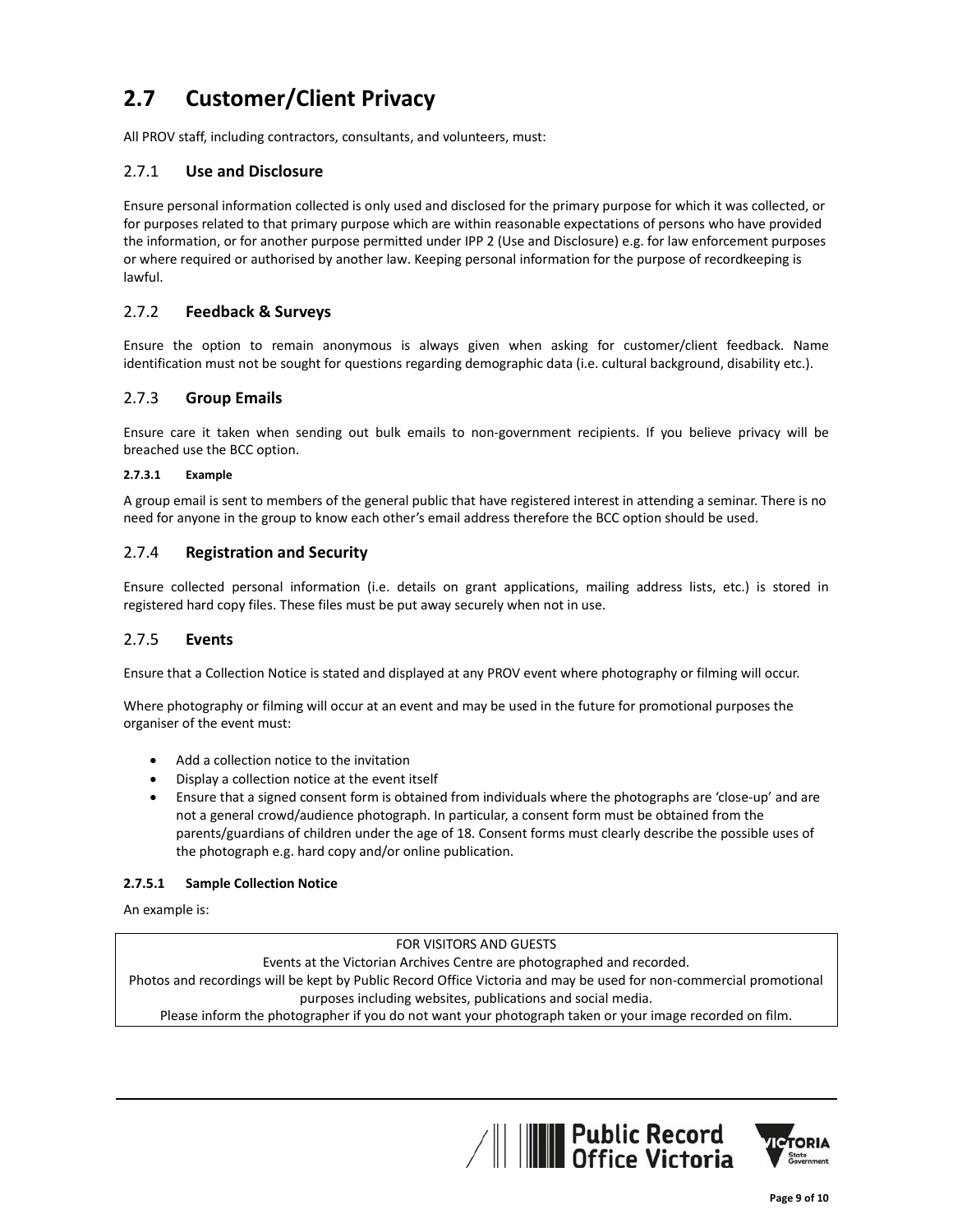## **2.7 Customer/Client Privacy**

All PROV staff, including contractors, consultants, and volunteers, must:

## 2.7.1 **Use and Disclosure**

Ensure personal information collected is only used and disclosed for the primary purpose for which it was collected, or for purposes related to that primary purpose which are within reasonable expectations of persons who have provided the information, or for another purpose permitted under IPP 2 (Use and Disclosure) e.g. for law enforcement purposes or where required or authorised by another law. Keeping personal information for the purpose of recordkeeping is lawful.

## 2.7.2 **Feedback & Surveys**

Ensure the option to remain anonymous is always given when asking for customer/client feedback. Name identification must not be sought for questions regarding demographic data (i.e. cultural background, disability etc.).

## 2.7.3 **Group Emails**

Ensure care it taken when sending out bulk emails to non-government recipients. If you believe privacy will be breached use the BCC option.

#### **2.7.3.1 Example**

A group email is sent to members of the general public that have registered interest in attending a seminar. There is no need for anyone in the group to know each other's email address therefore the BCC option should be used.

## 2.7.4 **Registration and Security**

Ensure collected personal information (i.e. details on grant applications, mailing address lists, etc.) is stored in registered hard copy files. These files must be put away securely when not in use.

#### 2.7.5 **Events**

Ensure that a Collection Notice is stated and displayed at any PROV event where photography or filming will occur.

Where photography or filming will occur at an event and may be used in the future for promotional purposes the organiser of the event must:

- Add a collection notice to the invitation
- Display a collection notice at the event itself
- Ensure that a signed consent form is obtained from individuals where the photographs are 'close‐up' and are not a general crowd/audience photograph. In particular, a consent form must be obtained from the parents/guardians of children under the age of 18. Consent forms must clearly describe the possible uses of the photograph e.g. hard copy and/or online publication.

#### **2.7.5.1 Sample Collection Notice**

An example is:

FOR VISITORS AND GUESTS

Events at the Victorian Archives Centre are photographed and recorded.

Photos and recordings will be kept by Public Record Office Victoria and may be used for non‐commercial promotional purposes including websites, publications and social media.

Please inform the photographer if you do not want your photograph taken or your image recorded on film.